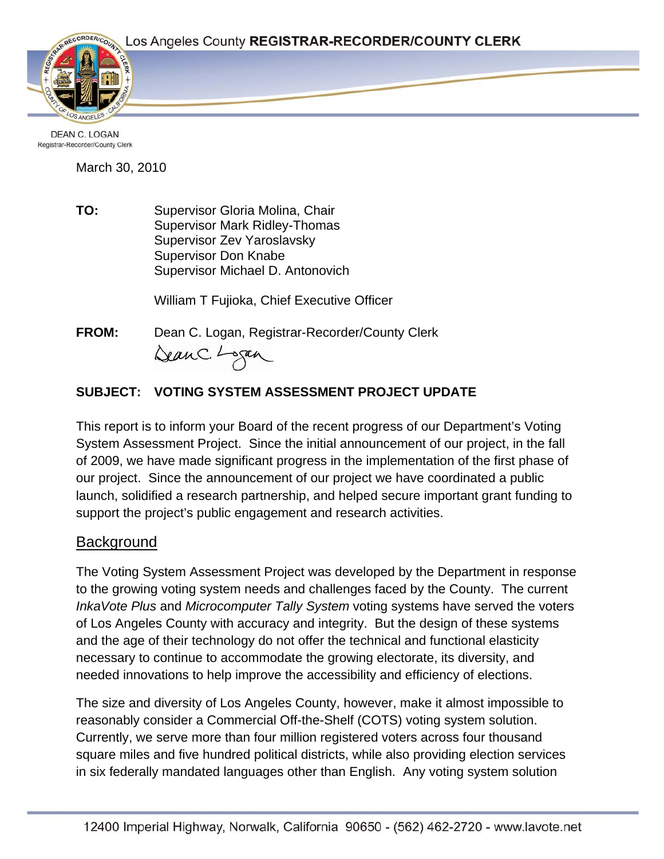

**DEAN C. LOGAN** Registrar-Recorder/County Clerk

March 30, 2010

**TO:** Supervisor Gloria Molina, Chair Supervisor Mark Ridley-Thomas Supervisor Zev Yaroslavsky Supervisor Don Knabe Supervisor Michael D. Antonovich

William T Fujioka, Chief Executive Officer

**FROM:** Dean C. Logan, Registrar-Recorder/County Clerk DeanC. Logan

# **SUBJECT: VOTING SYSTEM ASSESSMENT PROJECT UPDATE**

This report is to inform your Board of the recent progress of our Department's Voting System Assessment Project. Since the initial announcement of our project, in the fall of 2009, we have made significant progress in the implementation of the first phase of our project. Since the announcement of our project we have coordinated a public launch, solidified a research partnership, and helped secure important grant funding to support the project's public engagement and research activities.

# **Background**

The Voting System Assessment Project was developed by the Department in response to the growing voting system needs and challenges faced by the County. The current *InkaVote Plus* and *Microcomputer Tally System* voting systems have served the voters of Los Angeles County with accuracy and integrity. But the design of these systems and the age of their technology do not offer the technical and functional elasticity necessary to continue to accommodate the growing electorate, its diversity, and needed innovations to help improve the accessibility and efficiency of elections.

The size and diversity of Los Angeles County, however, make it almost impossible to reasonably consider a Commercial Off-the-Shelf (COTS) voting system solution. Currently, we serve more than four million registered voters across four thousand square miles and five hundred political districts, while also providing election services in six federally mandated languages other than English. Any voting system solution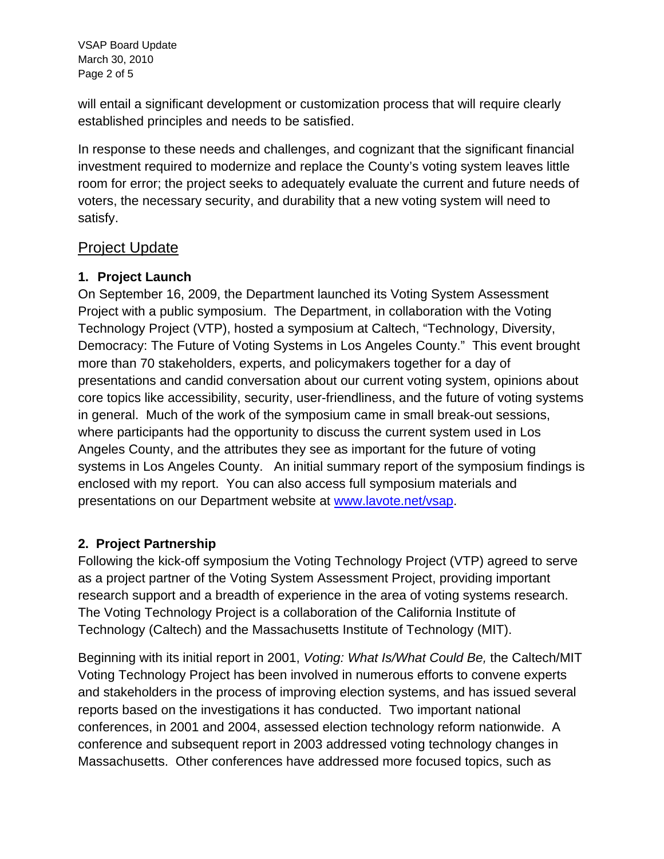VSAP Board Update March 30, 2010 Page 2 of 5

will entail a significant development or customization process that will require clearly established principles and needs to be satisfied.

In response to these needs and challenges, and cognizant that the significant financial investment required to modernize and replace the County's voting system leaves little room for error; the project seeks to adequately evaluate the current and future needs of voters, the necessary security, and durability that a new voting system will need to satisfy.

## Project Update

## **1. Project Launch**

On September 16, 2009, the Department launched its Voting System Assessment Project with a public symposium. The Department, in collaboration with the Voting Technology Project (VTP), hosted a symposium at Caltech, "Technology, Diversity, Democracy: The Future of Voting Systems in Los Angeles County." This event brought more than 70 stakeholders, experts, and policymakers together for a day of presentations and candid conversation about our current voting system, opinions about core topics like accessibility, security, user-friendliness, and the future of voting systems in general. Much of the work of the symposium came in small break-out sessions, where participants had the opportunity to discuss the current system used in Los Angeles County, and the attributes they see as important for the future of voting systems in Los Angeles County. An initial summary report of the symposium findings is enclosed with my report. You can also access full symposium materials and presentations on our Department website at [www.lavote.net/vsap](http://www.lavote.net/vsap).

## **2. Project Partnership**

Following the kick-off symposium the Voting Technology Project (VTP) agreed to serve as a project partner of the Voting System Assessment Project, providing important research support and a breadth of experience in the area of voting systems research. The Voting Technology Project is a collaboration of the California Institute of Technology (Caltech) and the Massachusetts Institute of Technology (MIT).

Beginning with its initial report in 2001, *Voting: What Is/What Could Be,* the Caltech/MIT Voting Technology Project has been involved in numerous efforts to convene experts and stakeholders in the process of improving election systems, and has issued several reports based on the investigations it has conducted. Two important national conferences, in 2001 and 2004, assessed election technology reform nationwide. A conference and subsequent report in 2003 addressed voting technology changes in Massachusetts. Other conferences have addressed more focused topics, such as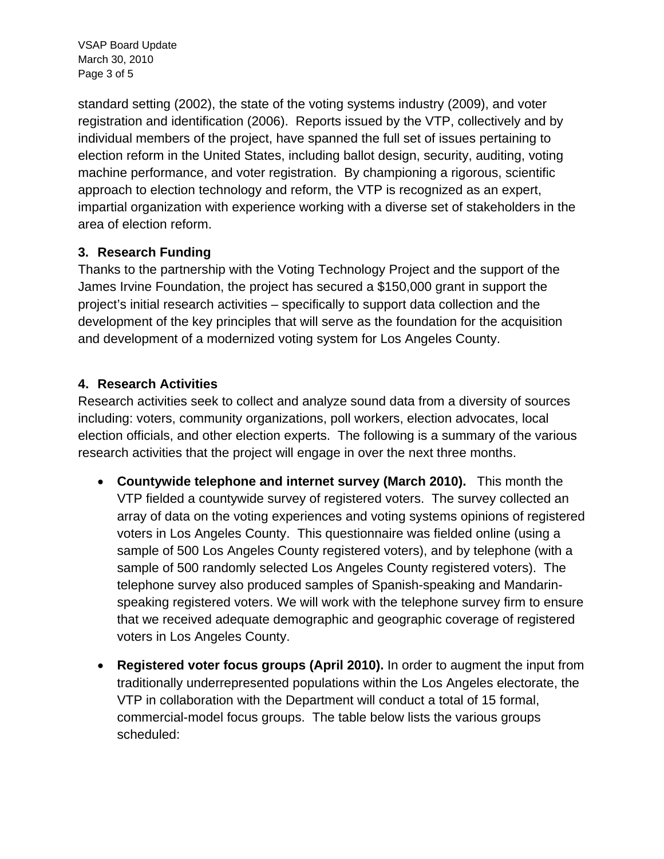VSAP Board Update March 30, 2010 Page 3 of 5

standard setting (2002), the state of the voting systems industry (2009), and voter registration and identification (2006). Reports issued by the VTP, collectively and by individual members of the project, have spanned the full set of issues pertaining to election reform in the United States, including ballot design, security, auditing, voting machine performance, and voter registration. By championing a rigorous, scientific approach to election technology and reform, the VTP is recognized as an expert, impartial organization with experience working with a diverse set of stakeholders in the area of election reform.

### **3. Research Funding**

Thanks to the partnership with the Voting Technology Project and the support of the James Irvine Foundation, the project has secured a \$150,000 grant in support the project's initial research activities – specifically to support data collection and the development of the key principles that will serve as the foundation for the acquisition and development of a modernized voting system for Los Angeles County.

## **4. Research Activities**

Research activities seek to collect and analyze sound data from a diversity of sources including: voters, community organizations, poll workers, election advocates, local election officials, and other election experts. The following is a summary of the various research activities that the project will engage in over the next three months.

- **Countywide telephone and internet survey (March 2010).** This month the VTP fielded a countywide survey of registered voters. The survey collected an array of data on the voting experiences and voting systems opinions of registered voters in Los Angeles County. This questionnaire was fielded online (using a sample of 500 Los Angeles County registered voters), and by telephone (with a sample of 500 randomly selected Los Angeles County registered voters). The telephone survey also produced samples of Spanish-speaking and Mandarinspeaking registered voters. We will work with the telephone survey firm to ensure that we received adequate demographic and geographic coverage of registered voters in Los Angeles County.
- **Registered voter focus groups (April 2010).** In order to augment the input from traditionally underrepresented populations within the Los Angeles electorate, the VTP in collaboration with the Department will conduct a total of 15 formal, commercial-model focus groups. The table below lists the various groups scheduled: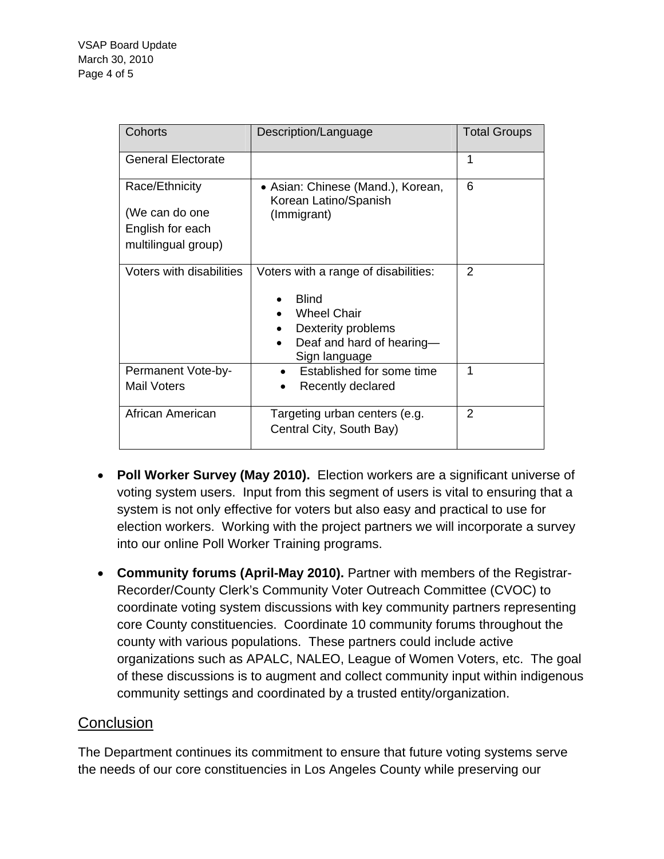| Cohorts                                              | Description/Language                                                                                                                           | <b>Total Groups</b> |
|------------------------------------------------------|------------------------------------------------------------------------------------------------------------------------------------------------|---------------------|
| <b>General Electorate</b>                            |                                                                                                                                                | 1                   |
| Race/Ethnicity<br>(We can do one<br>English for each | • Asian: Chinese (Mand.), Korean,<br>Korean Latino/Spanish<br>(Immigrant)                                                                      | 6                   |
| multilingual group)                                  |                                                                                                                                                |                     |
| Voters with disabilities                             | Voters with a range of disabilities:<br><b>Blind</b><br><b>Wheel Chair</b><br>Dexterity problems<br>Deaf and hard of hearing-<br>Sign language | $\mathcal{P}$       |
| Permanent Vote-by-<br><b>Mail Voters</b>             | Established for some time<br>Recently declared                                                                                                 | 1                   |
| African American                                     | Targeting urban centers (e.g.<br>Central City, South Bay)                                                                                      | 2                   |

- **Poll Worker Survey (May 2010).** Election workers are a significant universe of voting system users. Input from this segment of users is vital to ensuring that a system is not only effective for voters but also easy and practical to use for election workers. Working with the project partners we will incorporate a survey into our online Poll Worker Training programs.
- **Community forums (April-May 2010).** Partner with members of the Registrar-Recorder/County Clerk's Community Voter Outreach Committee (CVOC) to coordinate voting system discussions with key community partners representing core County constituencies. Coordinate 10 community forums throughout the county with various populations. These partners could include active organizations such as APALC, NALEO, League of Women Voters, etc. The goal of these discussions is to augment and collect community input within indigenous community settings and coordinated by a trusted entity/organization.

## **Conclusion**

The Department continues its commitment to ensure that future voting systems serve the needs of our core constituencies in Los Angeles County while preserving our